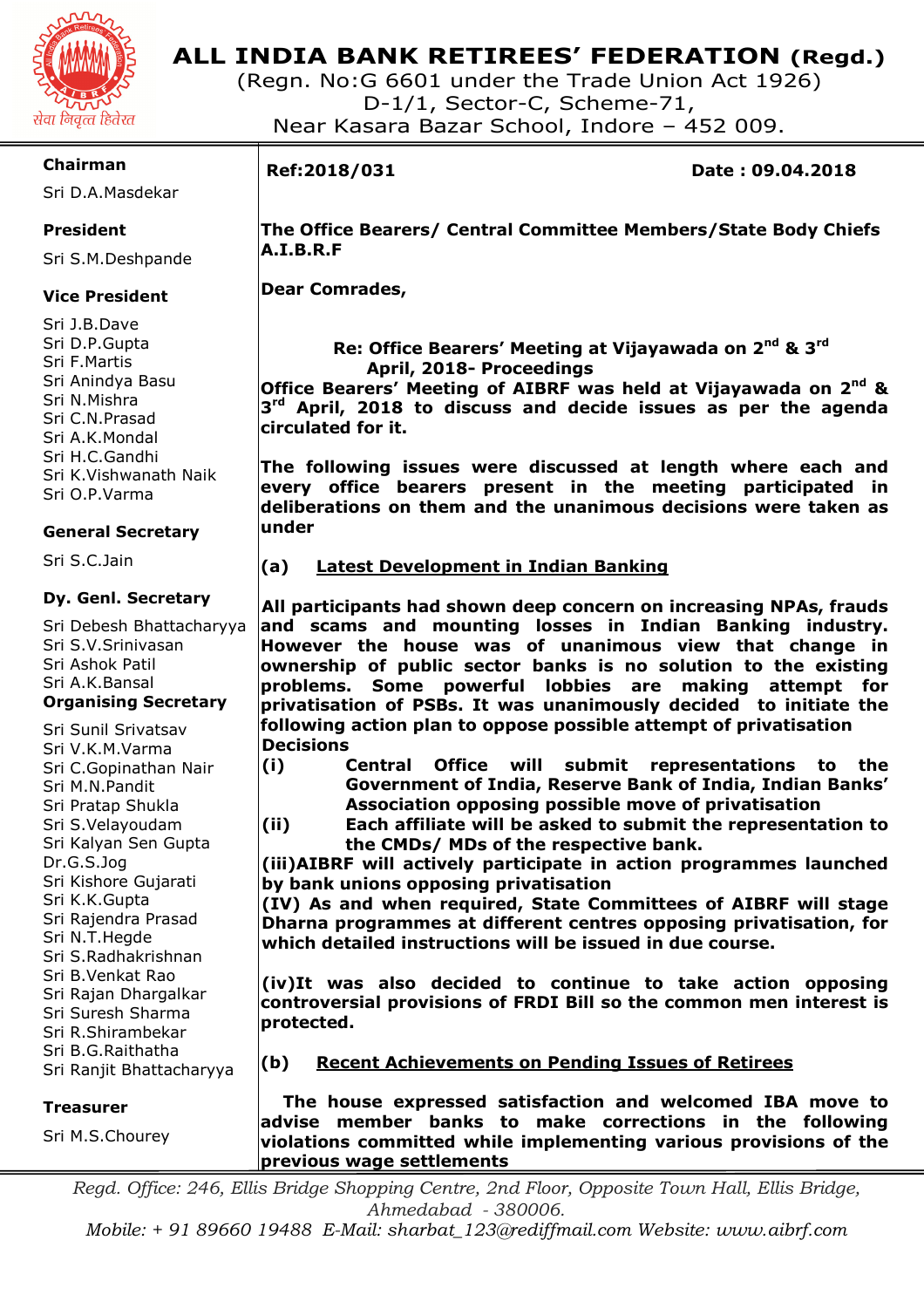

(Regn. No:G 6601 under the Trade Union Act 1926) D-1/1, Sector-C, Scheme-71, Near Kasara Bazar School, Indore – 452 009.

## **Chairman**

Sri D.A.Masdekar

# **President**

Sri S.M.Deshpande

# **Vice President**

Sri J.B.Dave Sri D.P.Gupta Sri F.Martis Sri Anindya Basu Sri N.Mishra Sri C.N.Prasad Sri A.K.Mondal Sri H.C.Gandhi Sri K.Vishwanath Naik Sri O.P.Varma

### **General Secretary**

Sri S.C.Jain

#### **Dy. Genl. Secretary**

Sri Debesh Bhattacharyya Sri S.V.Srinivasan Sri Ashok Patil Sri A.K.Bansal

#### **Organising Secretary**

Sri Sunil Srivatsav Sri V.K.M.Varma Sri C.Gopinathan Nair Sri M.N.Pandit Sri Pratap Shukla Sri S.Velayoudam Sri Kalyan Sen Gupta Dr.G.S.Jog Sri Kishore Gujarati Sri K.K.Gupta Sri Rajendra Prasad Sri N.T.Hegde Sri S.Radhakrishnan Sri B.Venkat Rao Sri Rajan Dhargalkar Sri Suresh Sharma Sri R.Shirambekar Sri B.G.Raithatha Sri Ranjit Bhattacharyya

#### **Treasurer**

Sri M.S.Chourey

I

**Ref:2018/031 Date : 09.04.2018** 

 **The Office Bearers/ Central Committee Members/State Body Chiefs A.I.B.R.F** 

 **Dear Comrades,** 

 **Re: Office Bearers' Meeting at Vijayawada on 2nd & 3rd April, 2018- Proceedings** 

**Office Bearers' Meeting of AIBRF was held at Vijayawada on 2nd & 3 rd April, 2018 to discuss and decide issues as per the agenda circulated for it.** 

**The following issues were discussed at length where each and every office bearers present in the meeting participated in deliberations on them and the unanimous decisions were taken as under** 

**(a) Latest Development in Indian Banking** 

**All participants had shown deep concern on increasing NPAs, frauds and scams and mounting losses in Indian Banking industry. However the house was of unanimous view that change in ownership of public sector banks is no solution to the existing problems. Some powerful lobbies are making attempt for privatisation of PSBs. It was unanimously decided to initiate the following action plan to oppose possible attempt of privatisation Decisions** 

- **(i) Central Office will submit representations to the Government of India, Reserve Bank of India, Indian Banks' Association opposing possible move of privatisation**
- **(ii) Each affiliate will be asked to submit the representation to the CMDs/ MDs of the respective bank.**

**(iii)AIBRF will actively participate in action programmes launched by bank unions opposing privatisation** 

**(IV) As and when required, State Committees of AIBRF will stage Dharna programmes at different centres opposing privatisation, for which detailed instructions will be issued in due course.** 

**(iv)It was also decided to continue to take action opposing controversial provisions of FRDI Bill so the common men interest is protected.** 

**(b) Recent Achievements on Pending Issues of Retirees** 

 **The house expressed satisfaction and welcomed IBA move to advise member banks to make corrections in the following violations committed while implementing various provisions of the previous wage settlements** 

*Regd. Office: 246, Ellis Bridge Shopping Centre, 2nd Floor, Opposite Town Hall, Ellis Bridge, Ahmedabad - 380006.* 

*Mobile: + 91 89660 19488 E-Mail: sharbat\_123@rediffmail.com Website: www.aibrf.com*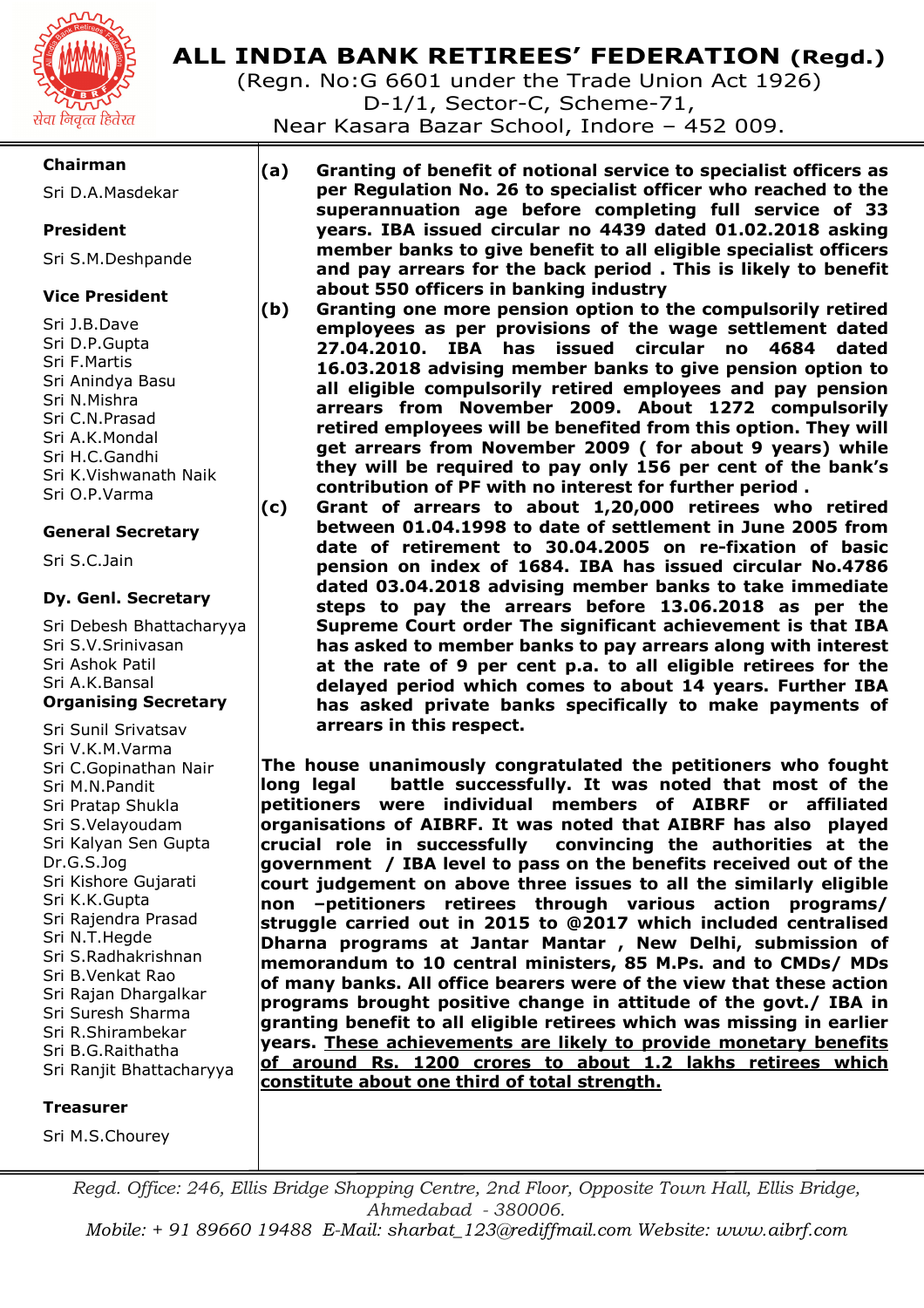

(Regn. No:G 6601 under the Trade Union Act 1926) D-1/1, Sector-C, Scheme-71,

Near Kasara Bazar School, Indore – 452 009.

# **Chairman**

Sri D.A.Masdekar

# **President**

Sri S.M.Deshpande

# **Vice President**

Sri J.B.Dave Sri D.P.Gupta Sri F.Martis Sri Anindya Basu Sri N.Mishra Sri C.N.Prasad Sri A.K.Mondal Sri H.C.Gandhi Sri K.Vishwanath Naik Sri O.P.Varma

# **General Secretary**

Sri S.C.Jain

### **Dy. Genl. Secretary**

Sri Debesh Bhattacharyya Sri S.V.Srinivasan Sri Ashok Patil Sri A.K.Bansal **Organising Secretary** 

Sri Sunil Srivatsav Sri V.K.M.Varma Sri C.Gopinathan Nair Sri M.N.Pandit Sri Pratap Shukla Sri S.Velayoudam Sri Kalyan Sen Gupta Dr.G.S.Jog Sri Kishore Gujarati Sri K.K.Gupta Sri Rajendra Prasad Sri N.T.Hegde Sri S.Radhakrishnan Sri B.Venkat Rao Sri Rajan Dhargalkar Sri Suresh Sharma Sri R.Shirambekar Sri B.G.Raithatha Sri Ranjit Bhattacharyya

#### **Treasurer**

Sri M.S.Chourey

**(a) Granting of benefit of notional service to specialist officers as per Regulation No. 26 to specialist officer who reached to the superannuation age before completing full service of 33 years. IBA issued circular no 4439 dated 01.02.2018 asking member banks to give benefit to all eligible specialist officers and pay arrears for the back period . This is likely to benefit about 550 officers in banking industry** 

- **(b) Granting one more pension option to the compulsorily retired employees as per provisions of the wage settlement dated 27.04.2010. IBA has issued circular no 4684 dated 16.03.2018 advising member banks to give pension option to all eligible compulsorily retired employees and pay pension arrears from November 2009. About 1272 compulsorily retired employees will be benefited from this option. They will get arrears from November 2009 ( for about 9 years) while they will be required to pay only 156 per cent of the bank's contribution of PF with no interest for further period .**
- **(c) Grant of arrears to about 1,20,000 retirees who retired between 01.04.1998 to date of settlement in June 2005 from date of retirement to 30.04.2005 on re-fixation of basic pension on index of 1684. IBA has issued circular No.4786 dated 03.04.2018 advising member banks to take immediate steps to pay the arrears before 13.06.2018 as per the Supreme Court order The significant achievement is that IBA has asked to member banks to pay arrears along with interest at the rate of 9 per cent p.a. to all eligible retirees for the delayed period which comes to about 14 years. Further IBA has asked private banks specifically to make payments of arrears in this respect.**

**The house unanimously congratulated the petitioners who fought long legal battle successfully. It was noted that most of the petitioners were individual members of AIBRF or affiliated organisations of AIBRF. It was noted that AIBRF has also played**  convincing the authorities at the **government / IBA level to pass on the benefits received out of the court judgement on above three issues to all the similarly eligible non –petitioners retirees through various action programs/ struggle carried out in 2015 to @2017 which included centralised Dharna programs at Jantar Mantar , New Delhi, submission of memorandum to 10 central ministers, 85 M.Ps. and to CMDs/ MDs of many banks. All office bearers were of the view that these action programs brought positive change in attitude of the govt./ IBA in granting benefit to all eligible retirees which was missing in earlier years. These achievements are likely to provide monetary benefits of around Rs. 1200 crores to about 1.2 lakhs retirees which constitute about one third of total strength.** 

*Regd. Office: 246, Ellis Bridge Shopping Centre, 2nd Floor, Opposite Town Hall, Ellis Bridge, Ahmedabad - 380006. Mobile: + 91 89660 19488 E-Mail: sharbat\_123@rediffmail.com Website: www.aibrf.com*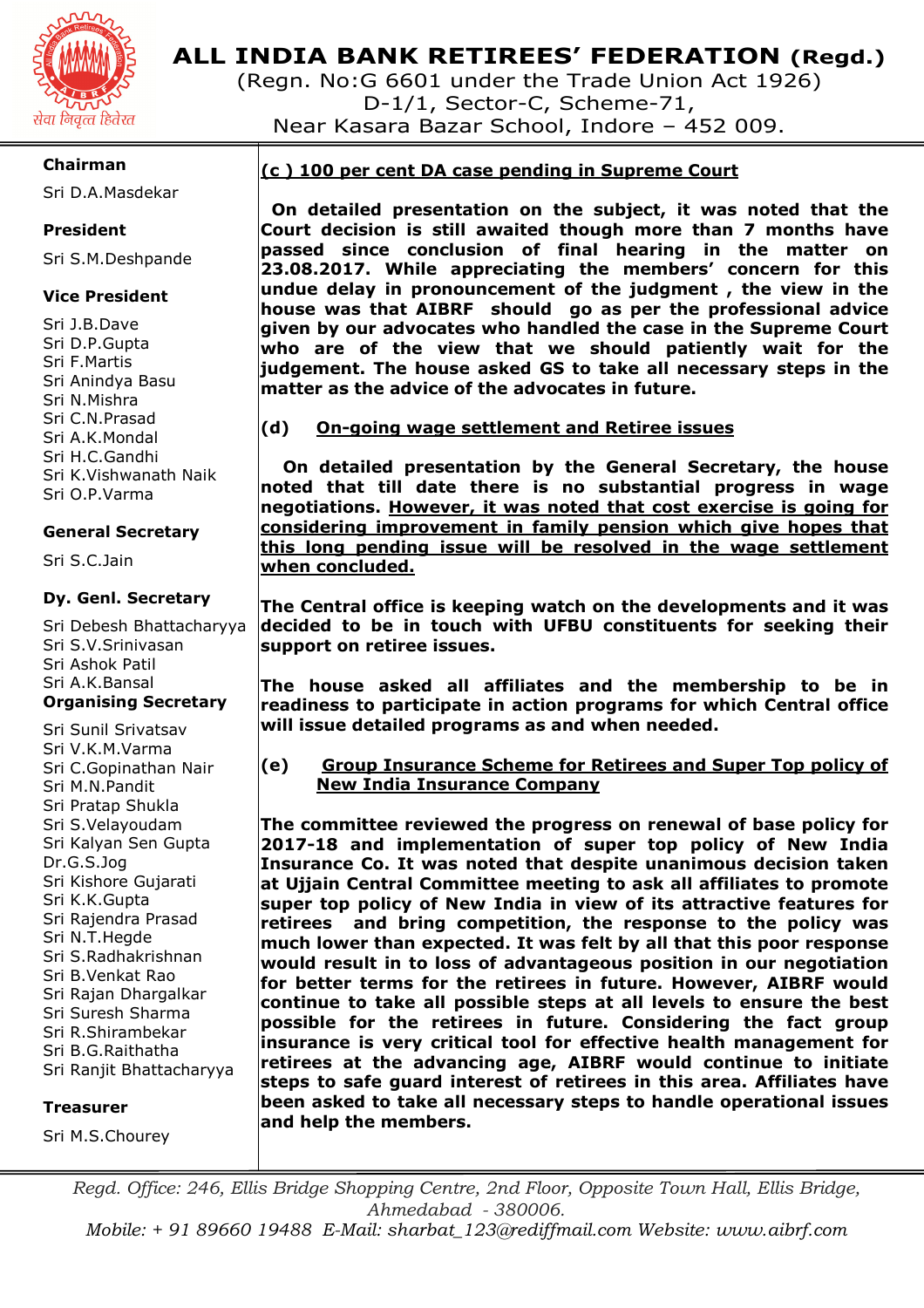

(Regn. No:G 6601 under the Trade Union Act 1926) D-1/1, Sector-C, Scheme-71, Near Kasara Bazar School, Indore – 452 009.

## **Chairman**

Sri D.A.Masdekar

# **President**

Sri S.M.Deshpande

## **Vice President**

Sri J.B.Dave Sri D.P.Gupta Sri F.Martis Sri Anindya Basu Sri N.Mishra Sri C.N.Prasad Sri A.K.Mondal Sri H.C.Gandhi Sri K.Vishwanath Naik Sri O.P.Varma

### **General Secretary**

Sri S.C.Jain

### **Dy. Genl. Secretary**

Sri Debesh Bhattacharyya Sri S.V.Srinivasan Sri Ashok Patil Sri A.K.Bansal

### **Organising Secretary**

Sri Sunil Srivatsav Sri V.K.M.Varma Sri C.Gopinathan Nair Sri M.N.Pandit Sri Pratap Shukla Sri S.Velayoudam Sri Kalyan Sen Gupta Dr.G.S.Jog Sri Kishore Gujarati Sri K.K.Gupta Sri Rajendra Prasad Sri N.T.Hegde Sri S.Radhakrishnan Sri B.Venkat Rao Sri Rajan Dhargalkar Sri Suresh Sharma Sri R.Shirambekar Sri B.G.Raithatha Sri Ranjit Bhattacharyya

#### **Treasurer**

Sri M.S.Chourey

# **(c ) 100 per cent DA case pending in Supreme Court**

 **On detailed presentation on the subject, it was noted that the Court decision is still awaited though more than 7 months have passed since conclusion of final hearing in the matter on 23.08.2017. While appreciating the members' concern for this undue delay in pronouncement of the judgment , the view in the house was that AIBRF should go as per the professional advice given by our advocates who handled the case in the Supreme Court who are of the view that we should patiently wait for the judgement. The house asked GS to take all necessary steps in the matter as the advice of the advocates in future.** 

### **(d) On-going wage settlement and Retiree issues**

 **On detailed presentation by the General Secretary, the house noted that till date there is no substantial progress in wage negotiations. However, it was noted that cost exercise is going for considering improvement in family pension which give hopes that this long pending issue will be resolved in the wage settlement when concluded.** 

**The Central office is keeping watch on the developments and it was decided to be in touch with UFBU constituents for seeking their support on retiree issues.** 

**The house asked all affiliates and the membership to be in readiness to participate in action programs for which Central office will issue detailed programs as and when needed.** 

**(e) Group Insurance Scheme for Retirees and Super Top policy of New India Insurance Company** 

**The committee reviewed the progress on renewal of base policy for 2017-18 and implementation of super top policy of New India Insurance Co. It was noted that despite unanimous decision taken at Ujjain Central Committee meeting to ask all affiliates to promote super top policy of New India in view of its attractive features for retirees and bring competition, the response to the policy was much lower than expected. It was felt by all that this poor response would result in to loss of advantageous position in our negotiation for better terms for the retirees in future. However, AIBRF would continue to take all possible steps at all levels to ensure the best possible for the retirees in future. Considering the fact group insurance is very critical tool for effective health management for retirees at the advancing age, AIBRF would continue to initiate steps to safe guard interest of retirees in this area. Affiliates have been asked to take all necessary steps to handle operational issues and help the members.** 

*Regd. Office: 246, Ellis Bridge Shopping Centre, 2nd Floor, Opposite Town Hall, Ellis Bridge, Ahmedabad - 380006. Mobile: + 91 89660 19488 E-Mail: sharbat\_123@rediffmail.com Website: www.aibrf.com*